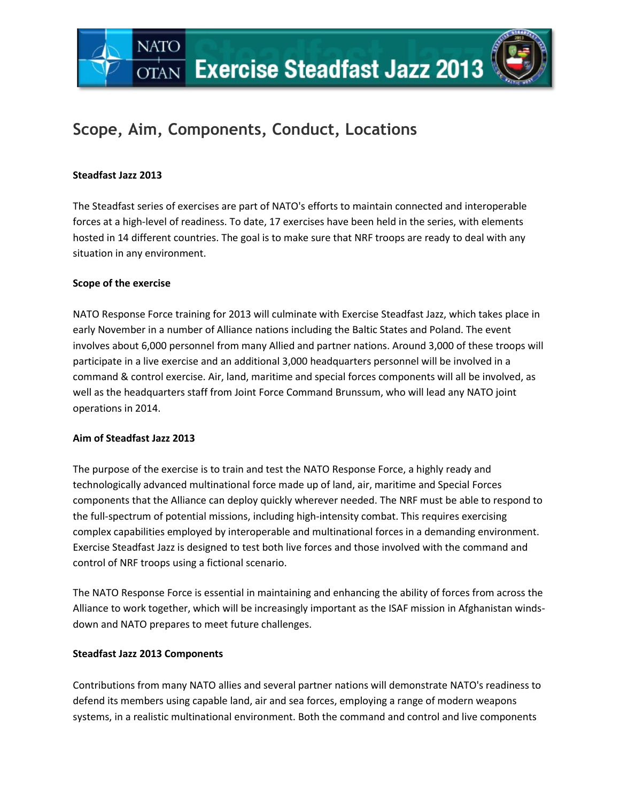# **Scope, Aim, Components, Conduct, Locations**

### **Steadfast Jazz 2013**

**NATO** 

The Steadfast series of exercises are part of NATO's efforts to maintain connected and interoperable forces at a high-level of readiness. To date, 17 exercises have been held in the series, with elements hosted in 14 different countries. The goal is to make sure that NRF troops are ready to deal with any situation in any environment.

#### **Scope of the exercise**

NATO Response Force training for 2013 will culminate with Exercise Steadfast Jazz, which takes place in early November in a number of Alliance nations including the Baltic States and Poland. The event involves about 6,000 personnel from many Allied and partner nations. Around 3,000 of these troops will participate in a live exercise and an additional 3,000 headquarters personnel will be involved in a command & control exercise. Air, land, maritime and special forces components will all be involved, as well as the headquarters staff from Joint Force Command Brunssum, who will lead any NATO joint operations in 2014.

#### **Aim of Steadfast Jazz 2013**

The purpose of the exercise is to train and test the NATO Response Force, a highly ready and technologically advanced multinational force made up of land, air, maritime and Special Forces components that the Alliance can deploy quickly wherever needed. The NRF must be able to respond to the full-spectrum of potential missions, including high-intensity combat. This requires exercising complex capabilities employed by interoperable and multinational forces in a demanding environment. Exercise Steadfast Jazz is designed to test both live forces and those involved with the command and control of NRF troops using a fictional scenario.

The NATO Response Force is essential in maintaining and enhancing the ability of forces from across the Alliance to work together, which will be increasingly important as the ISAF mission in Afghanistan windsdown and NATO prepares to meet future challenges.

## **Steadfast Jazz 2013 Components**

Contributions from many NATO allies and several partner nations will demonstrate NATO's readiness to defend its members using capable land, air and sea forces, employing a range of modern weapons systems, in a realistic multinational environment. Both the command and control and live components